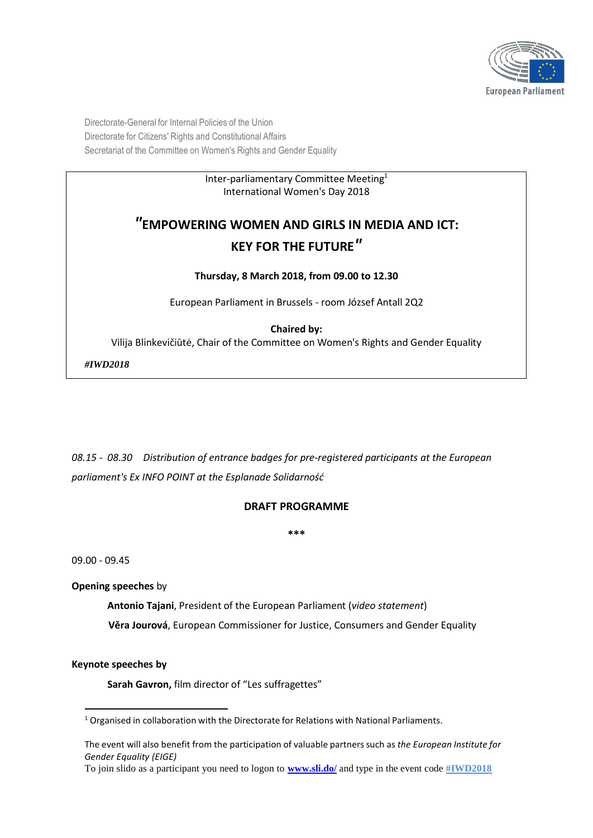

Directorate-General for Internal Policies of the Union Directorate for Citizens' Rights and Constitutional Affairs Secretariat of the Committee on Women's Rights and Gender Equality

#### Inter-parliamentary Committee Meeting 1 International Women's Day 2018

# *"***EMPOWERING WOMEN AND GIRLS IN MEDIA AND ICT: KEY FOR THE FUTURE***"*

#### **Thursday, 8 March 2018, from 09.00 to 12.30**

European Parliament in Brussels - room József Antall 2Q2

#### **Chaired by:**

Vilija Blinkevičiūtė, Chair of the Committee on Women's Rights and Gender Equality

*#IWD2018*

*08.15 - 08.30 Distribution of entrance badges for pre-registered participants at the European parliament's Ex INFO POINT at the Esplanade Solidarność*

## **DRAFT PROGRAMME**

**\*\*\***

09.00 - 09.45

**Opening speeches** by

**Antonio Tajani**, President of the European Parliament (*video statement*)

**Věra Jourová**, European Commissioner for Justice, Consumers and Gender Equality

**Keynote speeches by**

**Sarah Gavron,** film director of "Les suffragettes"

<sup>&</sup>lt;sup>1</sup> Organised in collaboration with the Directorate for Relations with National Parliaments.

The event will also benefit from the participation of valuable partnerssuch as *the European Institute for Gender Equality (EIGE)* 

To join slido as a participant you need to logon to **[www.sli.do/](http://www.sli.do/)** and type in the event code **#IWD2018**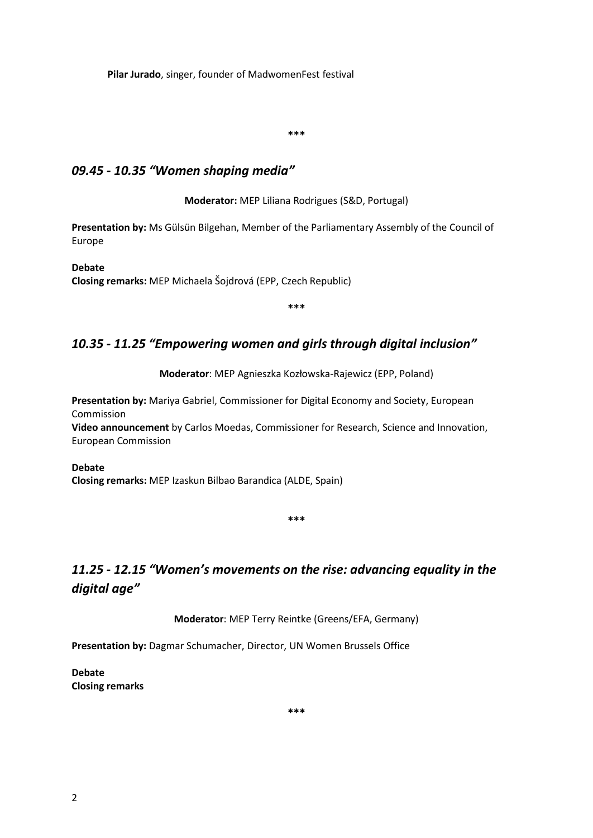**Pilar Jurado**, singer, founder of MadwomenFest festival

**\*\*\***

## *09.45 - 10.35 "Women shaping media"*

**Moderator:** MEP Liliana Rodrigues (S&D, Portugal)

**Presentation by:** Ms Gülsün Bilgehan, Member of the Parliamentary Assembly of the Council of Europe

**Debate Closing remarks:** MEP Michaela Šojdrová (EPP, Czech Republic)

**\*\*\***

## *10.35 - 11.25 "Empowering women and girls through digital inclusion"*

**Moderator**: MEP Agnieszka Kozłowska-Rajewicz (EPP, Poland)

**Presentation by:** Mariya Gabriel, Commissioner for Digital Economy and Society, European Commission **Video announcement** by Carlos Moedas, Commissioner for Research, Science and Innovation,

European Commission

**Debate Closing remarks:** MEP Izaskun Bilbao Barandica (ALDE, Spain)

**\*\*\***

# *11.25 - 12.15 "Women's movements on the rise: advancing equality in the digital age"*

**Moderator**: MEP Terry Reintke (Greens/EFA, Germany)

**Presentation by:** Dagmar Schumacher, Director, UN Women Brussels Office

**Debate Closing remarks**

**\*\*\***